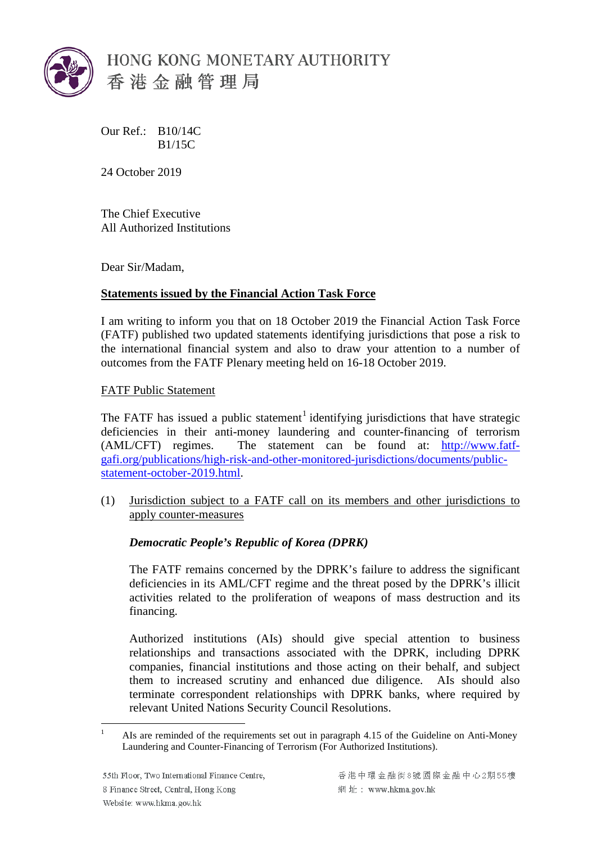

Our Ref.: B10/14C B1/15C

24 October 2019

The Chief Executive All Authorized Institutions

Dear Sir/Madam,

# **Statements issued by the Financial Action Task Force**

I am writing to inform you that on 18 October 2019 the Financial Action Task Force (FATF) published two updated statements identifying jurisdictions that pose a risk to the international financial system and also to draw your attention to a number of outcomes from the FATF Plenary meeting held on 16-18 October 2019.

FATF Public Statement

The FATF has issued a public statement<sup>[1](#page-1-0)</sup> identifying jurisdictions that have strategic deficiencies in their anti-money laundering and counter-financing of terrorism (AML/CFT) regimes. The statement can be found at: [http://www.fatf](http://www.fatf-gafi.org/publications/high-risk-and-other-monitored-jurisdictions/documents/public-statement-october-2019.html)[gafi.org/publications/high-risk-and-other-monitored-jurisdictions/documents/public](http://www.fatf-gafi.org/publications/high-risk-and-other-monitored-jurisdictions/documents/public-statement-october-2019.html)[statement-october-2019.html.](http://www.fatf-gafi.org/publications/high-risk-and-other-monitored-jurisdictions/documents/public-statement-october-2019.html)

(1) Jurisdiction subject to a FATF call on its members and other jurisdictions to apply counter-measures

# *Democratic People's Republic of Korea (DPRK)*

The FATF remains concerned by the DPRK's failure to address the significant deficiencies in its AML/CFT regime and the threat posed by the DPRK's illicit activities related to the proliferation of weapons of mass destruction and its financing.

Authorized institutions (AIs) should give special attention to business relationships and transactions associated with the DPRK, including DPRK companies, financial institutions and those acting on their behalf, and subject them to increased scrutiny and enhanced due diligence. AIs should also terminate correspondent relationships with DPRK banks, where required by relevant United Nations Security Council Resolutions.

<sup>&</sup>lt;sup>1</sup> AIs are reminded of the requirements set out in paragraph 4.15 of the Guideline on Anti-Money Laundering and Counter-Financing of Terrorism (For Authorized Institutions).